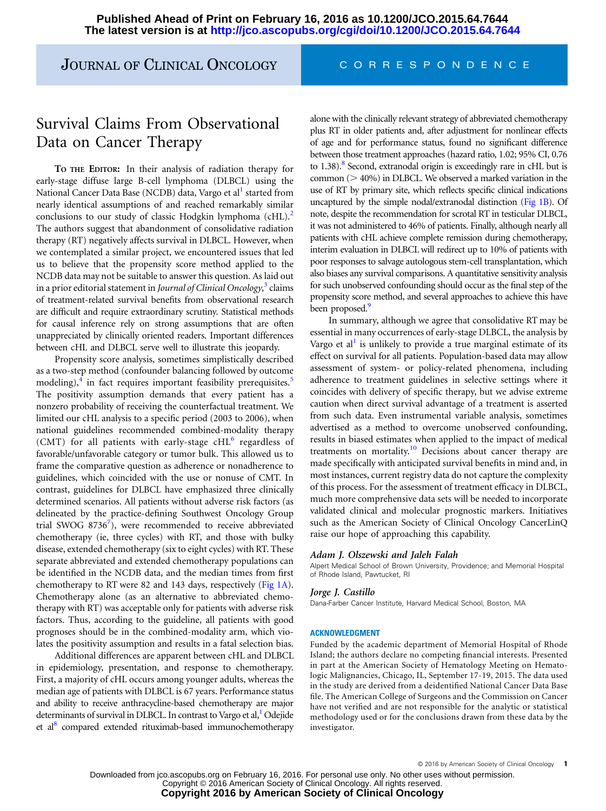# JOURNAL OF CLINICAL ONCOLOGY CORRESPONDENCE

# Survival Claims From Observational Data on Cancer Therapy

TO THE EDITOR: In their analysis of radiation therapy for early-stage diffuse large B-cell lymphoma (DLBCL) using the National Cancer Data Base (NCDB) data, Vargo et al<sup>[1](#page-1-0)</sup> started from nearly identical assumptions of and reached remarkably similar conclusions to our study of classic Hodgkin lymphoma  $(cHL)$ . The authors suggest that abandonment of consolidative radiation therapy (RT) negatively affects survival in DLBCL. However, when we contemplated a similar project, we encountered issues that led us to believe that the propensity score method applied to the NCDB data may not be suitable to answer this question. As laid out in a prior editorial statement in Journal of Clinical Oncology,<sup>[3](#page-1-0)</sup> claims of treatment-related survival benefits from observational research are difficult and require extraordinary scrutiny. Statistical methods for causal inference rely on strong assumptions that are often unappreciated by clinically oriented readers. Important differences between cHL and DLBCL serve well to illustrate this jeopardy.

Propensity score analysis, sometimes simplistically described as a two-step method (confounder balancing followed by outcome modeling),<sup>[4](#page-1-0)</sup> in fact requires important feasibility prerequisites.<sup>[5](#page-1-0)</sup> The positivity assumption demands that every patient has a nonzero probability of receiving the counterfactual treatment. We limited our cHL analysis to a specific period (2003 to 2006), when national guidelines recommended combined-modality therapy (CMT) for all patients with early-stage  $cHL^6$  $cHL^6$  regardless of favorable/unfavorable category or tumor bulk. This allowed us to frame the comparative question as adherence or nonadherence to guidelines, which coincided with the use or nonuse of CMT. In contrast, guidelines for DLBCL have emphasized three clinically determined scenarios. All patients without adverse risk factors (as delineated by the practice-defining Southwest Oncology Group trial SWOG 8[7](#page-2-0)36 $\frac{7}{2}$ , were recommended to receive abbreviated chemotherapy (ie, three cycles) with RT, and those with bulky disease, extended chemotherapy (six to eight cycles) with RT. These separate abbreviated and extended chemotherapy populations can be identified in the NCDB data, and the median times from first chemotherapy to RT were 82 and 143 days, respectively ([Fig 1A\)](#page-1-0). Chemotherapy alone (as an alternative to abbreviated chemotherapy with RT) was acceptable only for patients with adverse risk factors. Thus, according to the guideline, all patients with good prognoses should be in the combined-modality arm, which violates the positivity assumption and results in a fatal selection bias.

Additional differences are apparent between cHL and DLBCL in epidemiology, presentation, and response to chemotherapy. First, a majority of cHL occurs among younger adults, whereas the median age of patients with DLBCL is 67 years. Performance status and ability to receive anthracycline-based chemotherapy are major determinants of survival in DLBCL. In contrast to Vargo et al,<sup>1</sup> Odejide et al<sup>8</sup> compared extended rituximab-based immunochemotherapy alone with the clinically relevant strategy of abbreviated chemotherapy plus RT in older patients and, after adjustment for nonlinear effects of age and for performance status, found no significant difference between those treatment approaches (hazard ratio, 1.02; 95% CI, 0.76 to  $1.38$  $1.38$ ).<sup>8</sup> Second, extranodal origin is exceedingly rare in cHL but is common ( $>$  40%) in DLBCL. We observed a marked variation in the use of RT by primary site, which reflects specific clinical indications uncaptured by the simple nodal/extranodal distinction [\(Fig 1B\)](#page-1-0). Of note, despite the recommendation for scrotal RT in testicular DLBCL, it was not administered to 46% of patients. Finally, although nearly all patients with cHL achieve complete remission during chemotherapy, interim evaluation in DLBCL will redirect up to 10% of patients with poor responses to salvage autologous stem-cell transplantation, which also biases any survival comparisons. A quantitative sensitivity analysis for such unobserved confounding should occur as the final step of the propensity score method, and several approaches to achieve this have been proposed.<sup>9</sup>

In summary, although we agree that consolidative RT may be essential in many occurrences of early-stage DLBCL, the analysis by Vargo et al<sup>[1](#page-1-0)</sup> is unlikely to provide a true marginal estimate of its effect on survival for all patients. Population-based data may allow assessment of system- or policy-related phenomena, including adherence to treatment guidelines in selective settings where it coincides with delivery of specific therapy, but we advise extreme caution when direct survival advantage of a treatment is asserted from such data. Even instrumental variable analysis, sometimes advertised as a method to overcome unobserved confounding, results in biased estimates when applied to the impact of medical treatments on mortality.<sup>[10](#page-2-0)</sup> Decisions about cancer therapy are made specifically with anticipated survival benefits in mind and, in most instances, current registry data do not capture the complexity of this process. For the assessment of treatment efficacy in DLBCL, much more comprehensive data sets will be needed to incorporate validated clinical and molecular prognostic markers. Initiatives such as the American Society of Clinical Oncology CancerLinQ raise our hope of approaching this capability.

### Adam J. Olszewski and Jaleh Falah

Alpert Medical School of Brown University, Providence; and Memorial Hospital of Rhode Island, Pawtucket, RI

# Jorge J. Castillo

Dana-Farber Cancer Institute, Harvard Medical School, Boston, MA

ACKNOWLEDGMENT Funded by the academic department of Memorial Hospital of Rhode Island; the authors declare no competing financial interests. Presented in part at the American Society of Hematology Meeting on Hematologic Malignancies, Chicago, IL, September 17-19, 2015. The data used in the study are derived from a deidentified National Cancer Data Base file. The American College of Surgeons and the Commission on Cancer have not verified and are not responsible for the analytic or statistical methodology used or for the conclusions drawn from these data by the investigator.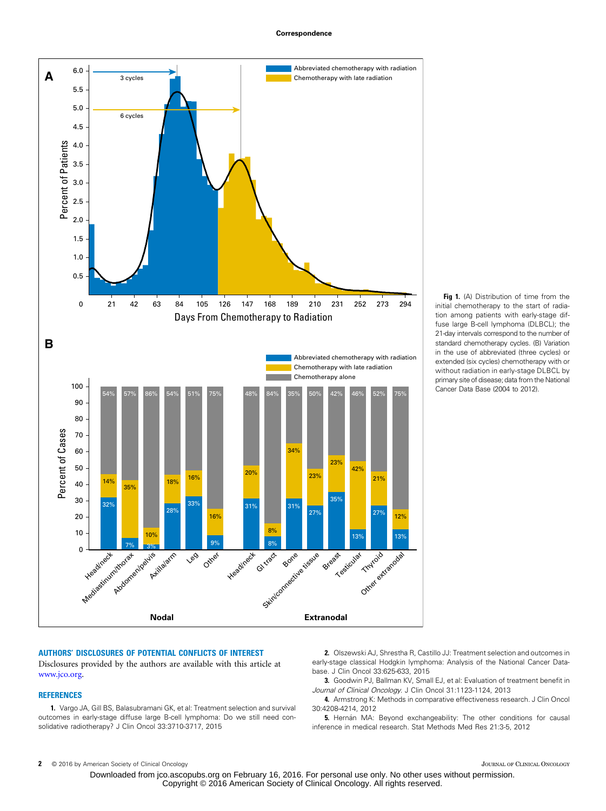#### **Correspondence**

<span id="page-1-0"></span>

Fig 1. (A) Distribution of time from the initial chemotherapy to the start of radiation among patients with early-stage diffuse large B-cell lymphoma (DLBCL); the 21-day intervals correspond to the number of standard chemotherapy cycles. (B) Variation in the use of abbreviated (three cycles) or extended (six cycles) chemotherapy with or without radiation in early-stage DLBCL by primary site of disease; data from the National Cancer Data Base (2004 to 2012).

# AUTHORS' DISCLOSURES OF POTENTIAL CONFLICTS OF INTEREST

Disclosures provided by the authors are available with this article at [www.jco.org.](http://www.jco.org)

### **REFERENCES**

**1.** Vargo JA, Gill BS, Balasubramani GK, et al: Treatment selection and survival<br>outcomes in early stage diffuse large B sell lymphoma: De we still peed can outcomes in early-stage diffuse large B-cell lymphoma: Do we still need consolidative radiotherapy? J Clin Oncol 33:3710-3717, 2015

2. Olszewski AJ, Shrestha R, Castillo JJ: Treatment selection and outcomes in early-stage classical Hodgkin lymphoma: Analysis of the National Cancer Database. J Clin Oncol 33:625-633, 2015

3. Goodwin PJ, Ballman KV, Small EJ, et al: Evaluation of treatment benefit in Journal of Clinical Oncology. J Clin Oncol 31:1123-1124, 2013

4. Armstrong K: Methods in comparative effectiveness research. J Clin Oncol 30:4208-4214, 2012

5. Hernán MA: Beyond exchangeability: The other conditions for causal inference in medical research. Stat Methods Med Res 21:3-5, 2012

Journal of Clinical Oncology و 2016 by American Society of Clinical Oncology Journal Oper CLINICAL ONCOLOGY<br>Downloaded from jco.ascopubs.org on February 16, 2016. For personal use only. No other uses without permission. Copyright © 2016 American Society of Clinical Oncology. All rights reserved.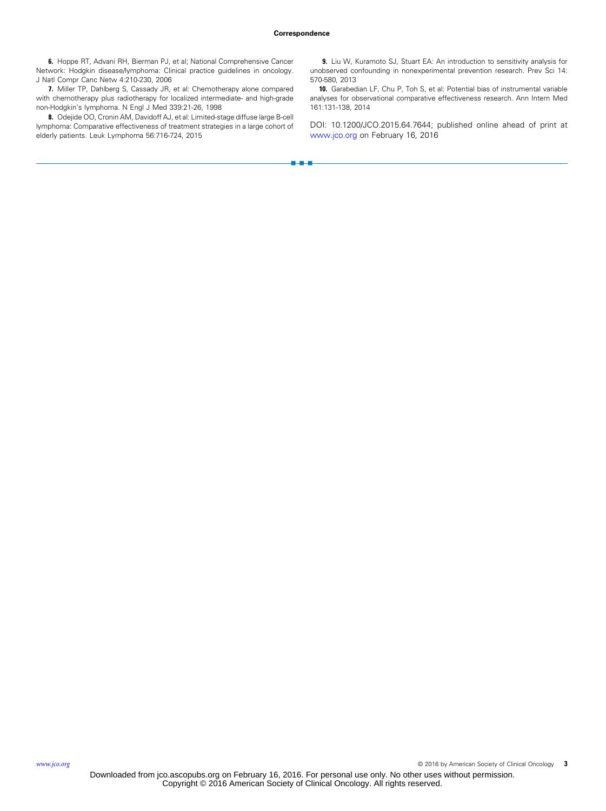<span id="page-2-0"></span>6. Hoppe RT, Advani RH, Bierman PJ, et al; National Comprehensive Cancer Network: Hodgkin disease/lymphoma: Clinical practice guidelines in oncology. J Natl Compr Canc Netw 4:210-230, 2006

7. Miller TP, Dahlberg S, Cassady JR, et al: Chemotherapy alone compared with chemotherapy plus radiotherapy for localized intermediate- and high-grade non-Hodgkin's lymphoma. N Engl J Med 339:21-26, 1998

8. Odejide OO, Cronin AM, Davidoff AJ, et al: Limited-stage diffuse large B-cell lymphoma: Comparative effectiveness of treatment strategies in a large cohort of elderly patients. Leuk Lymphoma 56:716-724, 2015

9. Liu W, Kuramoto SJ, Stuart EA: An introduction to sensitivity analysis for unobserved confounding in nonexperimental prevention research. Prev Sci 14: 570-580, 2013

10. Garabedian LF, Chu P, Toh S, et al: Potential bias of instrumental variable analyses for observational comparative effectiveness research. Ann Intern Med 161:131-138, 2014

DOI: [10.1200/JCO.2015.64.7644](http://dx.doi.org/10.1200/JCO.2015.64.7644); published online ahead of print at [www.jco.org](http://www.jco.org) on February 16, 2016

n-a-a